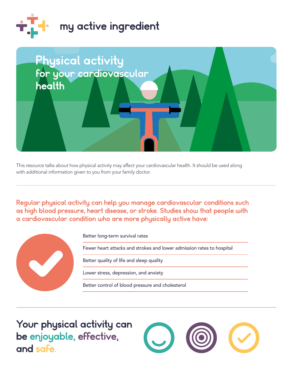



This resource talks about how physical activity may affect your cardiovascular health. It should be used along with additional information given to you from your family doctor.

Regular physical activity can help you manage cardiovascular conditions such as high blood pressure, heart disease, or stroke. Studies show that people with a cardiovascular condition who are more physically active have:



Better long-term survival rates

Fewer heart attacks and strokes and lower admission rates to hospital

Better quality of life and sleep quality

Lower stress, depression, and anxiety

Better control of blood pressure and cholesterol

 be enjoyable, effective, Your physical activity can and safe.